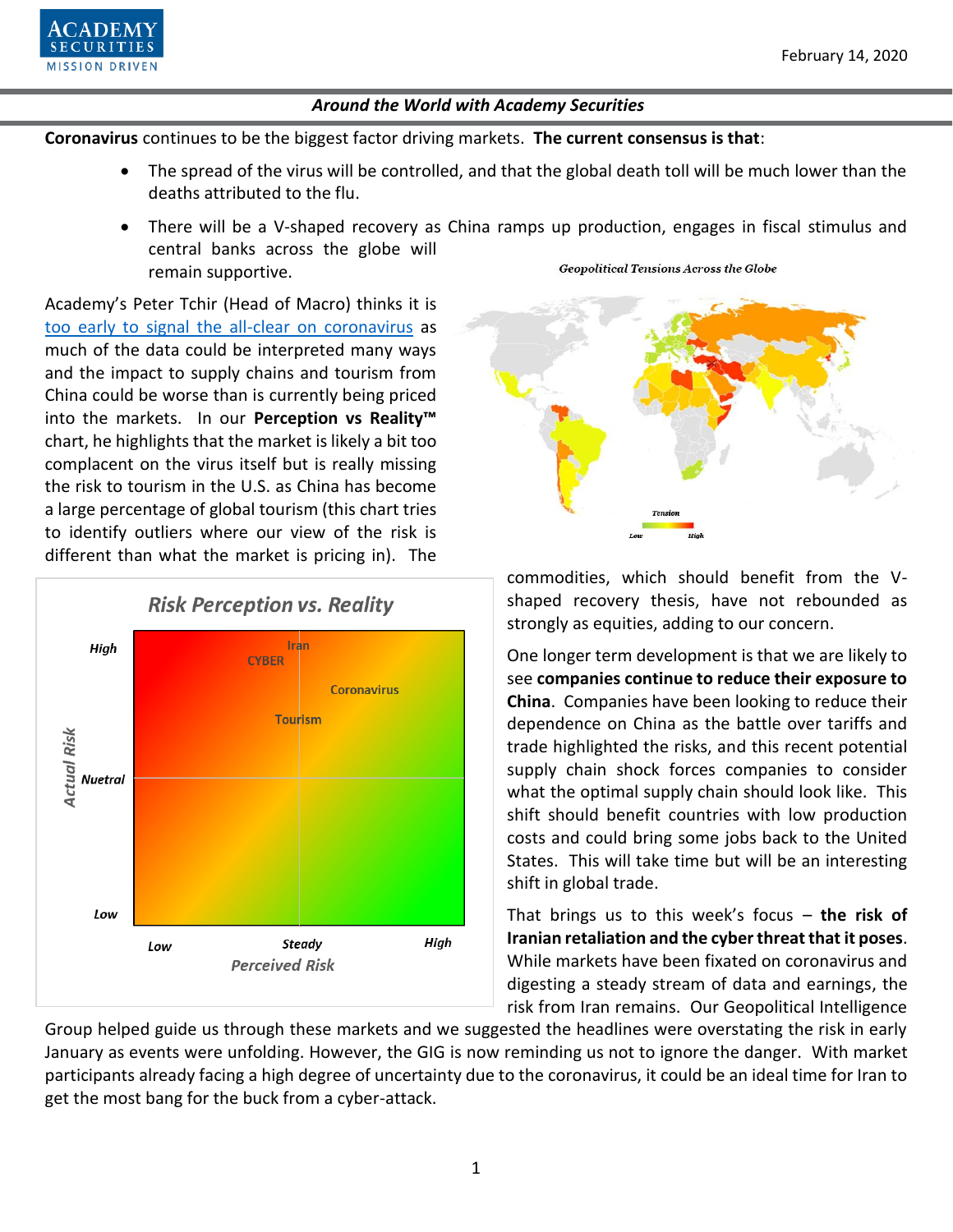

**Coronavirus** continues to be the biggest factor driving markets. **The current consensus is that**:

- The spread of the virus will be controlled, and that the global death toll will be much lower than the deaths attributed to the flu.
- There will be a V-shaped recovery as China ramps up production, engages in fiscal stimulus and central banks across the globe will **Geopolitical Tensions Across the Globe** remain supportive.

Academy's Peter Tchir (Head of Macro) thinks it is [too early to signal the all-clear on coronavirus](https://www.academysecurities.com/wordpress/wp-content/uploads/2020/02/Uncertainty-GIGO-Tourism-and-Supply-Chains.pdf) as much of the data could be interpreted many ways and the impact to supply chains and tourism from China could be worse than is currently being priced into the markets. In our **Perception vs Reality™**  chart, he highlights that the market is likely a bit too complacent on the virus itself but is really missing the risk to tourism in the U.S. as China has become a large percentage of global tourism (this chart tries to identify outliers where our view of the risk is different than what the market is pricing in). The





commodities, which should benefit from the Vshaped recovery thesis, have not rebounded as strongly as equities, adding to our concern.

One longer term development is that we are likely to see **companies continue to reduce their exposure to China**. Companies have been looking to reduce their dependence on China as the battle over tariffs and trade highlighted the risks, and this recent potential supply chain shock forces companies to consider what the optimal supply chain should look like. This shift should benefit countries with low production costs and could bring some jobs back to the United States. This will take time but will be an interesting shift in global trade.

That brings us to this week's focus – **the risk of Iranian retaliation and the cyber threat that it poses**. While markets have been fixated on coronavirus and digesting a steady stream of data and earnings, the risk from Iran remains. Our Geopolitical Intelligence

Group helped guide us through these markets and we suggested the headlines were overstating the risk in early January as events were unfolding. However, the GIG is now reminding us not to ignore the danger. With market participants already facing a high degree of uncertainty due to the coronavirus, it could be an ideal time for Iran to get the most bang for the buck from a cyber-attack.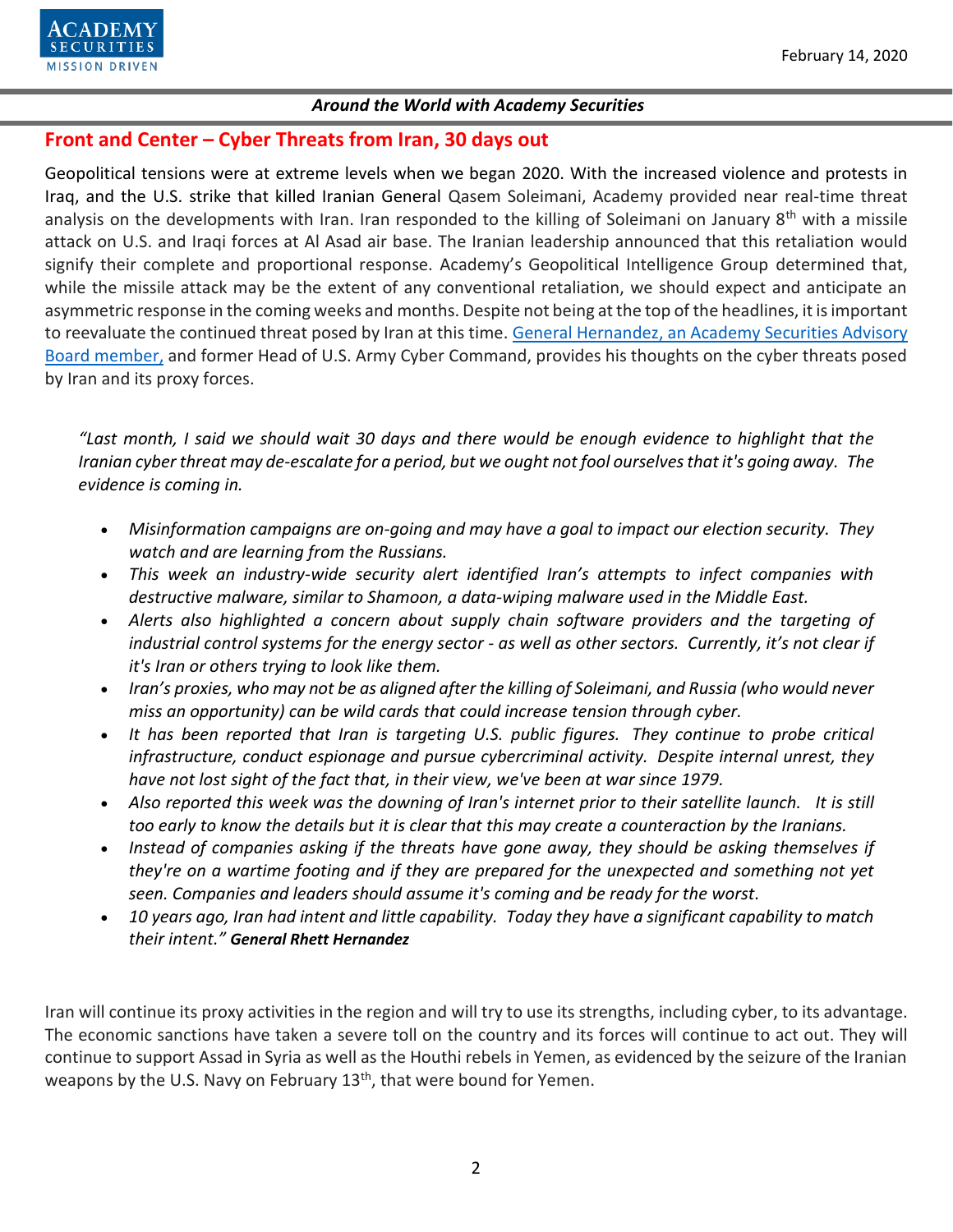

# **Front and Center – Cyber Threats from Iran, 30 days out**

Geopolitical tensions were at extreme levels when we began 2020. With the increased violence and protests in Iraq, and the U.S. strike that killed Iranian General Qasem Soleimani, Academy provided near real-time threat analysis on the developments with Iran. Iran responded to the killing of Soleimani on January 8<sup>th</sup> with a missile attack on U.S. and Iraqi forces at Al Asad air base. The Iranian leadership announced that this retaliation would signify their complete and proportional response. Academy's Geopolitical Intelligence Group determined that, while the missile attack may be the extent of any conventional retaliation, we should expect and anticipate an asymmetric response in the coming weeks and months. Despite not being at the top of the headlines, it is important to reevaluate the continued threat posed by Iran at this time. General Hernandez, [an Academy Securities Advisory](https://www.academysecurities.com/geopolitical/geopolitical-intelligence-group/)  [Board member,](https://www.academysecurities.com/geopolitical/geopolitical-intelligence-group/) and former Head of U.S. Army Cyber Command, provides his thoughts on the cyber threats posed by Iran and its proxy forces.

*"Last month, I said we should wait 30 days and there would be enough evidence to highlight that the Iranian cyber threat may de-escalate for a period, but we ought not fool ourselves that it's going away. The evidence is coming in.* 

- *Misinformation campaigns are on-going and may have a goal to impact our election security. They watch and are learning from the Russians.*
- *This week an industry-wide security alert identified Iran's attempts to infect companies with destructive malware, similar to Shamoon, a data-wiping malware used in the Middle East.*
- *Alerts also highlighted a concern about supply chain software providers and the targeting of industrial control systems for the energy sector - as well as other sectors. Currently, it's not clear if it's Iran or others trying to look like them.*
- *Iran's proxies, who may not be as aligned after the killing of Soleimani, and Russia (who would never miss an opportunity) can be wild cards that could increase tension through cyber.*
- *It has been reported that Iran is targeting U.S. public figures. They continue to probe critical infrastructure, conduct espionage and pursue cybercriminal activity. Despite internal unrest, they have not lost sight of the fact that, in their view, we've been at war since 1979.*
- *Also reported this week was the downing of Iran's internet prior to their satellite launch. It is still too early to know the details but it is clear that this may create a counteraction by the Iranians.*
- *Instead of companies asking if the threats have gone away, they should be asking themselves if they're on a wartime footing and if they are prepared for the unexpected and something not yet seen. Companies and leaders should assume it's coming and be ready for the worst.*
- *10 years ago, Iran had intent and little capability. Today they have a significant capability to match their intent." General Rhett Hernandez*

Iran will continue its proxy activities in the region and will try to use its strengths, including cyber, to its advantage. The economic sanctions have taken a severe toll on the country and its forces will continue to act out. They will continue to support Assad in Syria as well as the Houthi rebels in Yemen, as evidenced by the seizure of the Iranian weapons by the U.S. Navy on February 13<sup>th</sup>, that were bound for Yemen.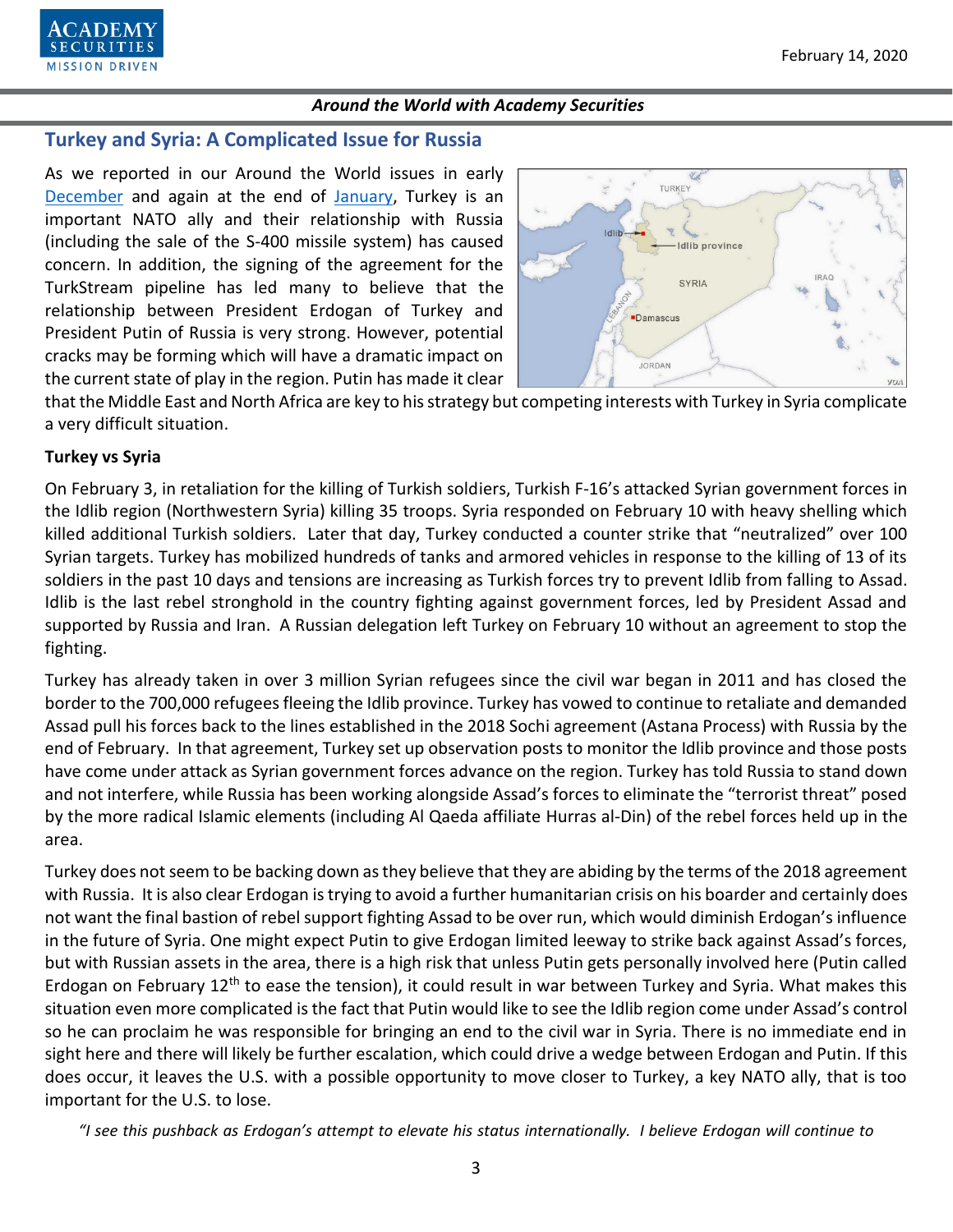

## **Turkey and Syria: A Complicated Issue for Russia**

As we reported in our Around the World issues in early [December](https://www.academysecurities.com/wordpress/wp-content/uploads/2019/12/Around-the-World-with-Academy-Securities-12.6.19.pdf) and again at the end of [January,](https://www.academysecurities.com/wordpress/wp-content/uploads/2020/01/Around-the-World-with-Academy-Securities-1.31.20.pdf) Turkey is an important NATO ally and their relationship with Russia (including the sale of the S-400 missile system) has caused concern. In addition, the signing of the agreement for the TurkStream pipeline has led many to believe that the relationship between President Erdogan of Turkey and President Putin of Russia is very strong. However, potential cracks may be forming which will have a dramatic impact on the current state of play in the region. Putin has made it clear



that the Middle East and North Africa are key to his strategy but competing interests with Turkey in Syria complicate a very difficult situation.

#### **Turkey vs Syria**

On February 3, in retaliation for the killing of Turkish soldiers, Turkish F-16's attacked Syrian government forces in the Idlib region (Northwestern Syria) killing 35 troops. Syria responded on February 10 with heavy shelling which killed additional Turkish soldiers. Later that day, Turkey conducted a counter strike that "neutralized" over 100 Syrian targets. Turkey has mobilized hundreds of tanks and armored vehicles in response to the killing of 13 of its soldiers in the past 10 days and tensions are increasing as Turkish forces try to prevent Idlib from falling to Assad. Idlib is the last rebel stronghold in the country fighting against government forces, led by President Assad and supported by Russia and Iran. A Russian delegation left Turkey on February 10 without an agreement to stop the fighting.

Turkey has already taken in over 3 million Syrian refugees since the civil war began in 2011 and has closed the border to the 700,000 refugees fleeing the Idlib province. Turkey has vowed to continue to retaliate and demanded Assad pull his forces back to the lines established in the 2018 Sochi agreement (Astana Process) with Russia by the end of February. In that agreement, Turkey set up observation posts to monitor the Idlib province and those posts have come under attack as Syrian government forces advance on the region. Turkey has told Russia to stand down and not interfere, while Russia has been working alongside Assad's forces to eliminate the "terrorist threat" posed by the more radical Islamic elements (including Al Qaeda affiliate Hurras al-Din) of the rebel forces held up in the area.

Turkey does not seem to be backing down as they believe that they are abiding by the terms of the 2018 agreement with Russia. It is also clear Erdogan is trying to avoid a further humanitarian crisis on his boarder and certainly does not want the final bastion of rebel support fighting Assad to be over run, which would diminish Erdogan's influence in the future of Syria. One might expect Putin to give Erdogan limited leeway to strike back against Assad's forces, but with Russian assets in the area, there is a high risk that unless Putin gets personally involved here (Putin called Erdogan on February 12<sup>th</sup> to ease the tension), it could result in war between Turkey and Syria. What makes this situation even more complicated is the fact that Putin would like to see the Idlib region come under Assad's control so he can proclaim he was responsible for bringing an end to the civil war in Syria. There is no immediate end in sight here and there will likely be further escalation, which could drive a wedge between Erdogan and Putin. If this does occur, it leaves the U.S. with a possible opportunity to move closer to Turkey, a key NATO ally, that is too important for the U.S. to lose.

*"I see this pushback as Erdogan's attempt to elevate his status internationally. I believe Erdogan will continue to*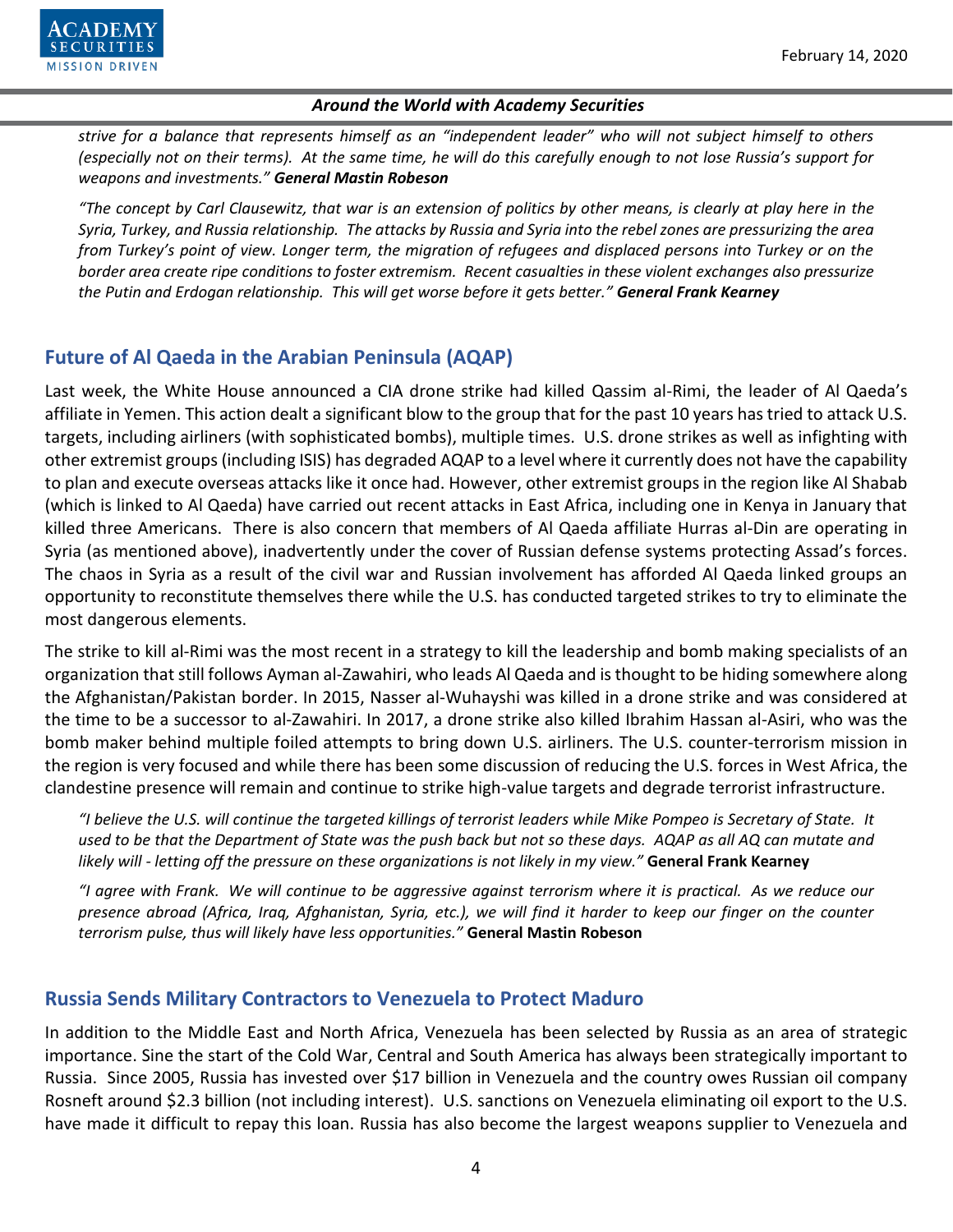

*strive for a balance that represents himself as an "independent leader" who will not subject himself to others (especially not on their terms). At the same time, he will do this carefully enough to not lose Russia's support for weapons and investments." General Mastin Robeson* 

*"The concept by Carl Clausewitz, that war is an extension of politics by other means, is clearly at play here in the Syria, Turkey, and Russia relationship. The attacks by Russia and Syria into the rebel zones are pressurizing the area from Turkey's point of view. Longer term, the migration of refugees and displaced persons into Turkey or on the border area create ripe conditions to foster extremism. Recent casualties in these violent exchanges also pressurize the Putin and Erdogan relationship. This will get worse before it gets better." General Frank Kearney*

# **Future of Al Qaeda in the Arabian Peninsula (AQAP)**

Last week, the White House announced a CIA drone strike had killed Qassim al-Rimi, the leader of Al Qaeda's affiliate in Yemen. This action dealt a significant blow to the group that for the past 10 years has tried to attack U.S. targets, including airliners (with sophisticated bombs), multiple times. U.S. drone strikes as well as infighting with other extremist groups (including ISIS) has degraded AQAP to a level where it currently does not have the capability to plan and execute overseas attacks like it once had. However, other extremist groups in the region like Al Shabab (which is linked to Al Qaeda) have carried out recent attacks in East Africa, including one in Kenya in January that killed three Americans. There is also concern that members of Al Qaeda affiliate Hurras al-Din are operating in Syria (as mentioned above), inadvertently under the cover of Russian defense systems protecting Assad's forces. The chaos in Syria as a result of the civil war and Russian involvement has afforded Al Qaeda linked groups an opportunity to reconstitute themselves there while the U.S. has conducted targeted strikes to try to eliminate the most dangerous elements.

The strike to kill al-Rimi was the most recent in a strategy to kill the leadership and bomb making specialists of an organization that still follows Ayman al-Zawahiri, who leads Al Qaeda and is thought to be hiding somewhere along the Afghanistan/Pakistan border. In 2015, Nasser al-Wuhayshi was killed in a drone strike and was considered at the time to be a successor to al-Zawahiri. In 2017, a drone strike also killed Ibrahim Hassan al-Asiri, who was the bomb maker behind multiple foiled attempts to bring down U.S. airliners. The U.S. counter-terrorism mission in the region is very focused and while there has been some discussion of reducing the U.S. forces in West Africa, the clandestine presence will remain and continue to strike high-value targets and degrade terrorist infrastructure.

*"I believe the U.S. will continue the targeted killings of terrorist leaders while Mike Pompeo is Secretary of State. It used to be that the Department of State was the push back but not so these days. AQAP as all AQ can mutate and likely will - letting off the pressure on these organizations is not likely in my view."* **General Frank Kearney**

*"I agree with Frank. We will continue to be aggressive against terrorism where it is practical. As we reduce our presence abroad (Africa, Iraq, Afghanistan, Syria, etc.), we will find it harder to keep our finger on the counter terrorism pulse, thus will likely have less opportunities."* **General Mastin Robeson**

# **Russia Sends Military Contractors to Venezuela to Protect Maduro**

In addition to the Middle East and North Africa, Venezuela has been selected by Russia as an area of strategic importance. Sine the start of the Cold War, Central and South America has always been strategically important to Russia. Since 2005, Russia has invested over \$17 billion in Venezuela and the country owes Russian oil company Rosneft around \$2.3 billion (not including interest). U.S. sanctions on Venezuela eliminating oil export to the U.S. have made it difficult to repay this loan. Russia has also become the largest weapons supplier to Venezuela and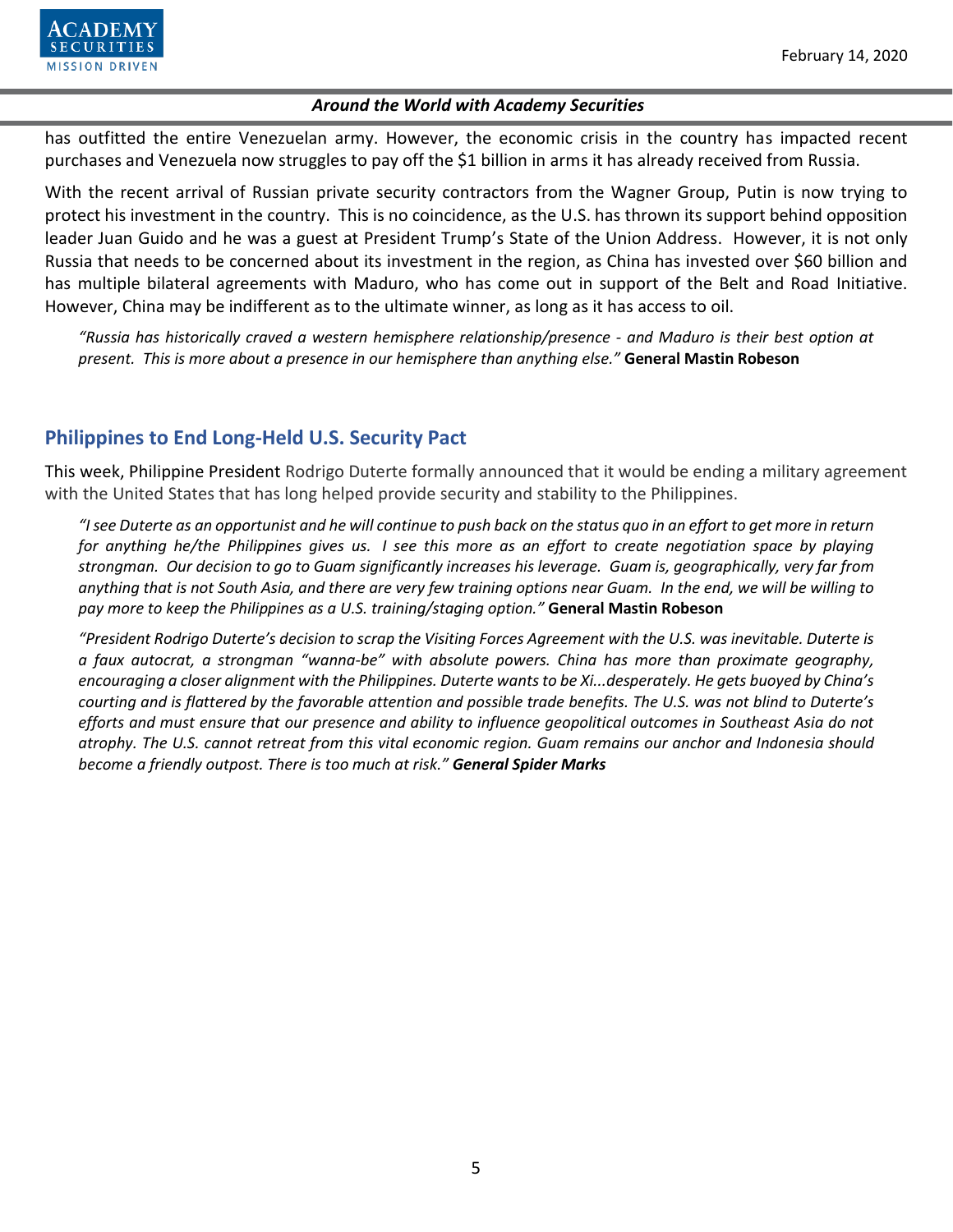

has outfitted the entire Venezuelan army. However, the economic crisis in the country has impacted recent purchases and Venezuela now struggles to pay off the \$1 billion in arms it has already received from Russia.

With the recent arrival of Russian private security contractors from the Wagner Group, Putin is now trying to protect his investment in the country. This is no coincidence, as the U.S. has thrown its support behind opposition leader Juan Guido and he was a guest at President Trump's State of the Union Address. However, it is not only Russia that needs to be concerned about its investment in the region, as China has invested over \$60 billion and has multiple bilateral agreements with Maduro, who has come out in support of the Belt and Road Initiative. However, China may be indifferent as to the ultimate winner, as long as it has access to oil.

*"Russia has historically craved a western hemisphere relationship/presence - and Maduro is their best option at present. This is more about a presence in our hemisphere than anything else."* **General Mastin Robeson**

# **Philippines to End Long-Held U.S. Security Pact**

This week, Philippine President Rodrigo Duterte formally announced that it would be ending a military agreement with the United States that has long helped provide security and stability to the Philippines.

*"I see Duterte as an opportunist and he will continue to push back on the status quo in an effort to get more in return for anything he/the Philippines gives us. I see this more as an effort to create negotiation space by playing strongman. Our decision to go to Guam significantly increases his leverage. Guam is, geographically, very far from anything that is not South Asia, and there are very few training options near Guam. In the end, we will be willing to pay more to keep the Philippines as a U.S. training/staging option."* **General Mastin Robeson**

*"President Rodrigo Duterte's decision to scrap the Visiting Forces Agreement with the U.S. was inevitable. Duterte is a faux autocrat, a strongman "wanna-be" with absolute powers. China has more than proximate geography, encouraging a closer alignment with the Philippines. Duterte wants to be Xi...desperately. He gets buoyed by China's courting and is flattered by the favorable attention and possible trade benefits. The U.S. was not blind to Duterte's efforts and must ensure that our presence and ability to influence geopolitical outcomes in Southeast Asia do not atrophy. The U.S. cannot retreat from this vital economic region. Guam remains our anchor and Indonesia should become a friendly outpost. There is too much at risk." General Spider Marks*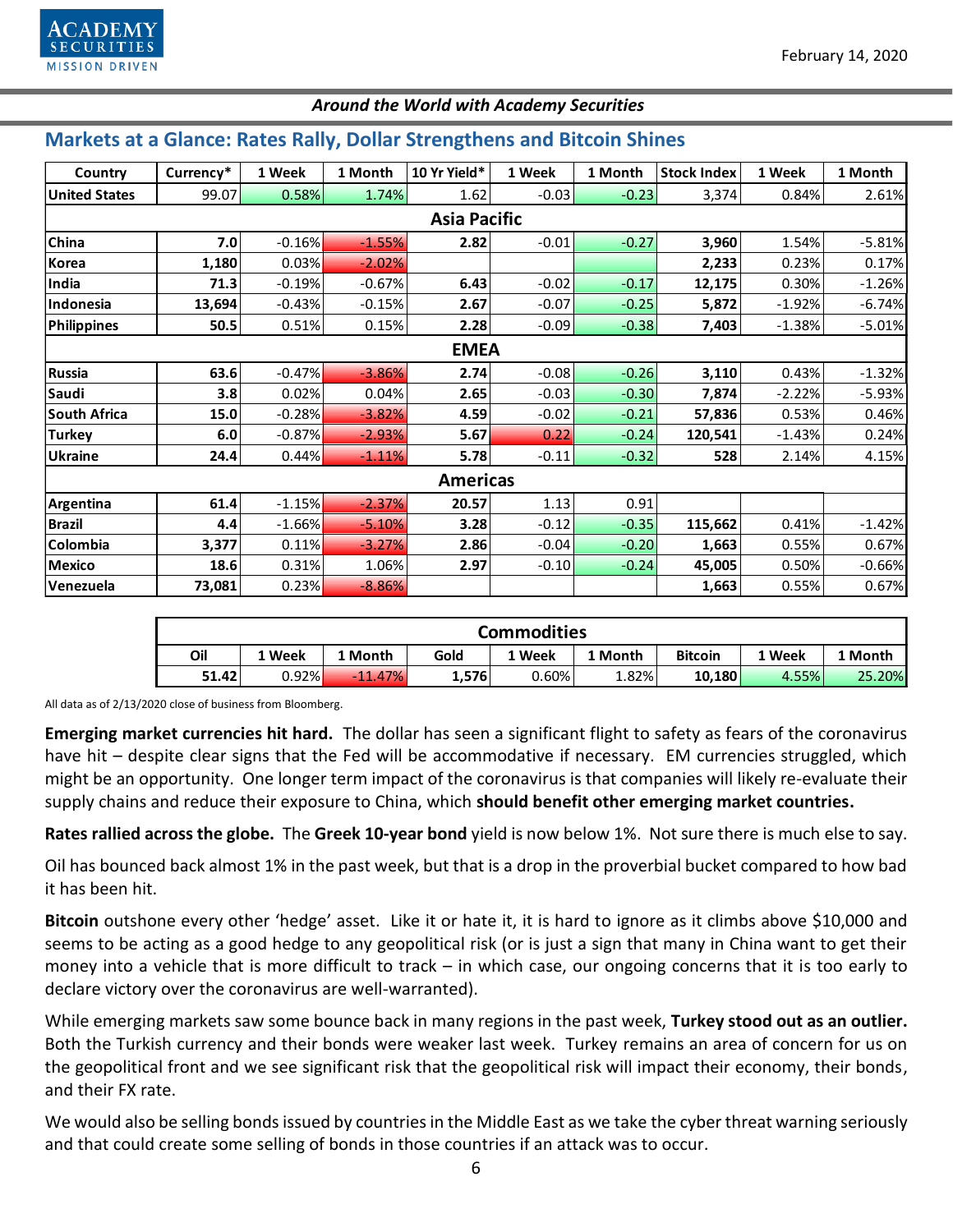## **Markets at a Glance: Rates Rally, Dollar Strengthens and Bitcoin Shines**

| Country              | Currency* | 1 Week   | 1 Month  | 10 Yr Yield* | 1 Week  | 1 Month | <b>Stock Index</b> | 1 Week   | 1 Month  |  |  |  |  |
|----------------------|-----------|----------|----------|--------------|---------|---------|--------------------|----------|----------|--|--|--|--|
| <b>United States</b> | 99.07     | 0.58%    | 1.74%    | 1.62         | $-0.03$ | $-0.23$ | 3,374              | 0.84%    | 2.61%    |  |  |  |  |
| <b>Asia Pacific</b>  |           |          |          |              |         |         |                    |          |          |  |  |  |  |
| China                | 7.0       | $-0.16%$ | $-1.55%$ | 2.82         | $-0.01$ | $-0.27$ | 3,960              | 1.54%    | $-5.81%$ |  |  |  |  |
| Korea                | 1,180     | 0.03%    | $-2.02%$ |              |         |         | 2,233              | 0.23%    | 0.17%    |  |  |  |  |
| India                | 71.3      | $-0.19%$ | $-0.67%$ | 6.43         | $-0.02$ | $-0.17$ | 12,175             | 0.30%    | $-1.26%$ |  |  |  |  |
| Indonesia            | 13,694    | $-0.43%$ | $-0.15%$ | 2.67         | $-0.07$ | $-0.25$ | 5,872              | $-1.92%$ | $-6.74%$ |  |  |  |  |
| <b>Philippines</b>   | 50.5      | 0.51%    | 0.15%    | 2.28         | $-0.09$ | $-0.38$ | 7,403              | $-1.38%$ | $-5.01%$ |  |  |  |  |
| <b>EMEA</b>          |           |          |          |              |         |         |                    |          |          |  |  |  |  |
| <b>Russia</b>        | 63.6      | $-0.47%$ | $-3.86%$ | 2.74         | $-0.08$ | $-0.26$ | 3,110              | 0.43%    | $-1.32%$ |  |  |  |  |
| Saudi                | 3.8       | 0.02%    | 0.04%    | 2.65         | $-0.03$ | $-0.30$ | 7,874              | $-2.22%$ | $-5.93%$ |  |  |  |  |
| <b>South Africa</b>  | 15.0      | $-0.28%$ | $-3.82%$ | 4.59         | $-0.02$ | $-0.21$ | 57,836             | 0.53%    | 0.46%    |  |  |  |  |
| <b>Turkey</b>        | 6.0       | $-0.87%$ | $-2.93%$ | 5.67         | 0.22    | $-0.24$ | 120,541            | $-1.43%$ | 0.24%    |  |  |  |  |
| <b>Ukraine</b>       | 24.4      | 0.44%    | $-1.11%$ | 5.78         | $-0.11$ | $-0.32$ | 528                | 2.14%    | 4.15%    |  |  |  |  |
| <b>Americas</b>      |           |          |          |              |         |         |                    |          |          |  |  |  |  |
| Argentina            | 61.4      | $-1.15%$ | $-2.37%$ | 20.57        | 1.13    | 0.91    |                    |          |          |  |  |  |  |
| <b>Brazil</b>        | 4.4       | $-1.66%$ | $-5.10%$ | 3.28         | $-0.12$ | $-0.35$ | 115,662            | 0.41%    | $-1.42%$ |  |  |  |  |
| Colombia             | 3,377     | 0.11%    | $-3.27%$ | 2.86         | $-0.04$ | $-0.20$ | 1,663              | 0.55%    | 0.67%    |  |  |  |  |
| <b>Mexico</b>        | 18.6      | 0.31%    | 1.06%    | 2.97         | $-0.10$ | $-0.24$ | 45,005             | 0.50%    | $-0.66%$ |  |  |  |  |
| Venezuela            | 73,081    | 0.23%    | $-8.86%$ |              |         |         | 1,663              | 0.55%    | 0.67%    |  |  |  |  |

| <b>Commodities</b> |        |           |       |        |         |                |        |         |  |  |  |  |
|--------------------|--------|-----------|-------|--------|---------|----------------|--------|---------|--|--|--|--|
| Oil                | ' Week | . Month   | Gold  | 1 Week | 1 Month | <b>Bitcoin</b> | 1 Week | . Month |  |  |  |  |
| 51.42              | 0.92%  | $-11.47%$ | 1,576 | 0.60%  | 1.82%   | 10,180         | 4.55%  | 25.20%  |  |  |  |  |

All data as of 2/13/2020 close of business from Bloomberg.

**Emerging market currencies hit hard.** The dollar has seen a significant flight to safety as fears of the coronavirus have hit – despite clear signs that the Fed will be accommodative if necessary. EM currencies struggled, which might be an opportunity. One longer term impact of the coronavirus is that companies will likely re-evaluate their supply chains and reduce their exposure to China, which **should benefit other emerging market countries.** 

**Rates rallied across the globe.** The **Greek 10-year bond** yield is now below 1%. Not sure there is much else to say.

Oil has bounced back almost 1% in the past week, but that is a drop in the proverbial bucket compared to how bad it has been hit.

**Bitcoin** outshone every other 'hedge' asset. Like it or hate it, it is hard to ignore as it climbs above \$10,000 and seems to be acting as a good hedge to any geopolitical risk (or is just a sign that many in China want to get their money into a vehicle that is more difficult to track – in which case, our ongoing concerns that it is too early to declare victory over the coronavirus are well-warranted).

While emerging markets saw some bounce back in many regions in the past week, **Turkey stood out as an outlier.**  Both the Turkish currency and their bonds were weaker last week. Turkey remains an area of concern for us on the geopolitical front and we see significant risk that the geopolitical risk will impact their economy, their bonds, and their FX rate.

We would also be selling bonds issued by countries in the Middle East as we take the cyber threat warning seriously and that could create some selling of bonds in those countries if an attack was to occur.